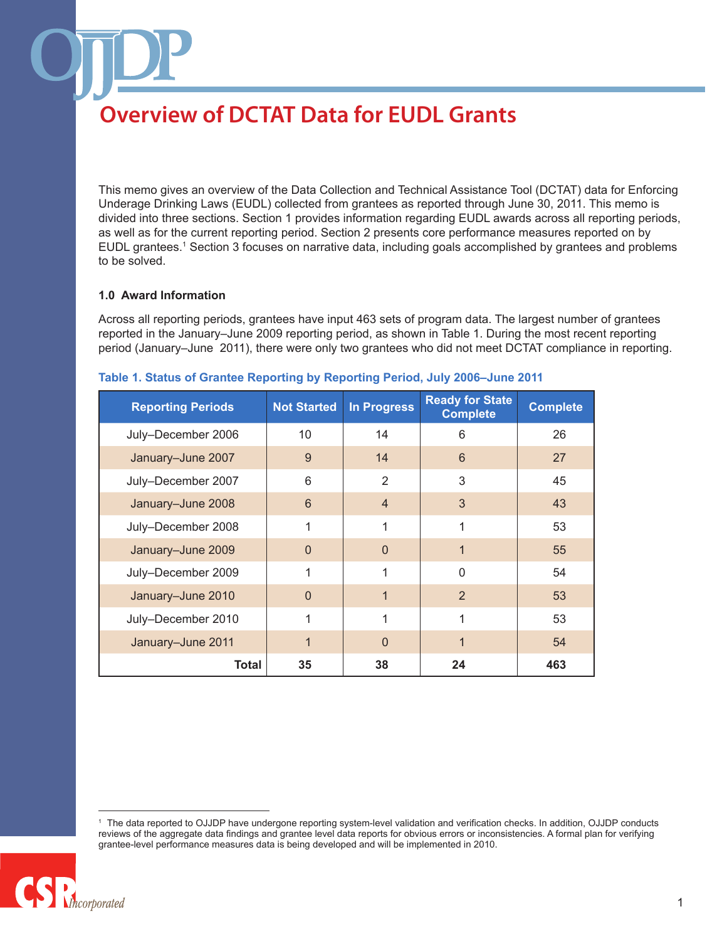This memo gives an overview of the Data Collection and Technical Assistance Tool (DCTAT) data for Enforcing Underage Drinking Laws (EUDL) collected from grantees as reported through June 30, 2011. This memo is divided into three sections. Section 1 provides information regarding EUDL awards across all reporting periods, as well as for the current reporting period. Section 2 presents core performance measures reported on by EUDL grantees.1 Section 3 focuses on narrative data, including goals accomplished by grantees and problems to be solved.

#### **1.0 Award Information**

Across all reporting periods, grantees have input 463 sets of program data. The largest number of grantees reported in the January–June 2009 reporting period, as shown in Table 1. During the most recent reporting period (January–June 2011), there were only two grantees who did not meet DCTAT compliance in reporting.

| <b>Reporting Periods</b> | <b>Not Started</b> | <b>In Progress</b> | <b>Ready for State</b><br><b>Complete</b> | <b>Complete</b> |
|--------------------------|--------------------|--------------------|-------------------------------------------|-----------------|
| July-December 2006       | 10                 | 14                 | 6                                         | 26              |
| January-June 2007        | 9                  | 14                 | 6                                         | 27              |
| July-December 2007       | 6                  | 2                  | 3                                         | 45              |
| January-June 2008        | 6                  | $\overline{4}$     | 3                                         | 43              |
| July-December 2008       | 1                  | 1                  | 1                                         | 53              |
| January-June 2009        | $\Omega$           | $\Omega$           | $\mathbf 1$                               | 55              |
| July-December 2009       | 1                  | 1                  | $\Omega$                                  | 54              |
| January-June 2010        | $\Omega$           | 1                  | 2                                         | 53              |
| July-December 2010       | 1                  | 1                  | 1                                         | 53              |
| January-June 2011        | $\mathbf 1$        | $\Omega$           | 1                                         | 54              |
| Total                    | 35                 | 38                 | 24                                        | 463             |

#### **Table 1. Status of Grantee Reporting by Reporting Period, July 2006–June 2011**

<sup>1</sup> The data reported to OJJDP have undergone reporting system-level validation and verification checks. In addition, OJJDP conducts reviews of the aggregate data findings and grantee level data reports for obvious errors or inconsistencies. A formal plan for verifying grantee-level performance measures data is being developed and will be implemented in 2010.

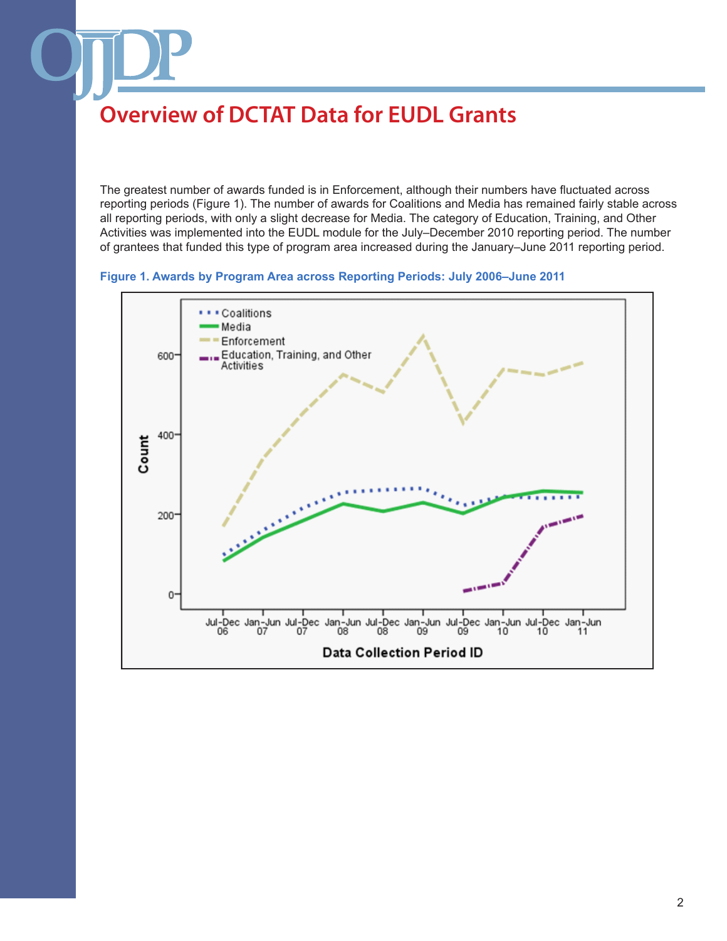The greatest number of awards funded is in Enforcement, although their numbers have fluctuated across reporting periods (Figure 1). The number of awards for Coalitions and Media has remained fairly stable across all reporting periods, with only a slight decrease for Media. The category of Education, Training, and Other Activities was implemented into the EUDL module for the July–December 2010 reporting period. The number of grantees that funded this type of program area increased during the January–June 2011 reporting period.



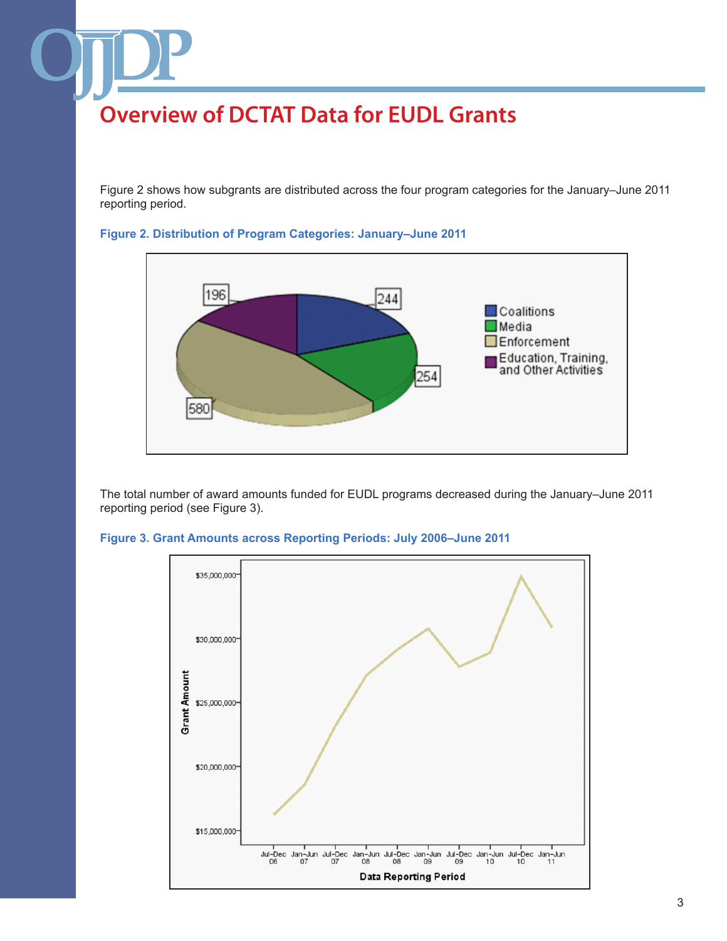Figure 2 shows how subgrants are distributed across the four program categories for the January–June 2011 reporting period.



**Figure 2. Distribution of Program Categories: January–June 2011**

The total number of award amounts funded for EUDL programs decreased during the January–June 2011 reporting period (see Figure 3).



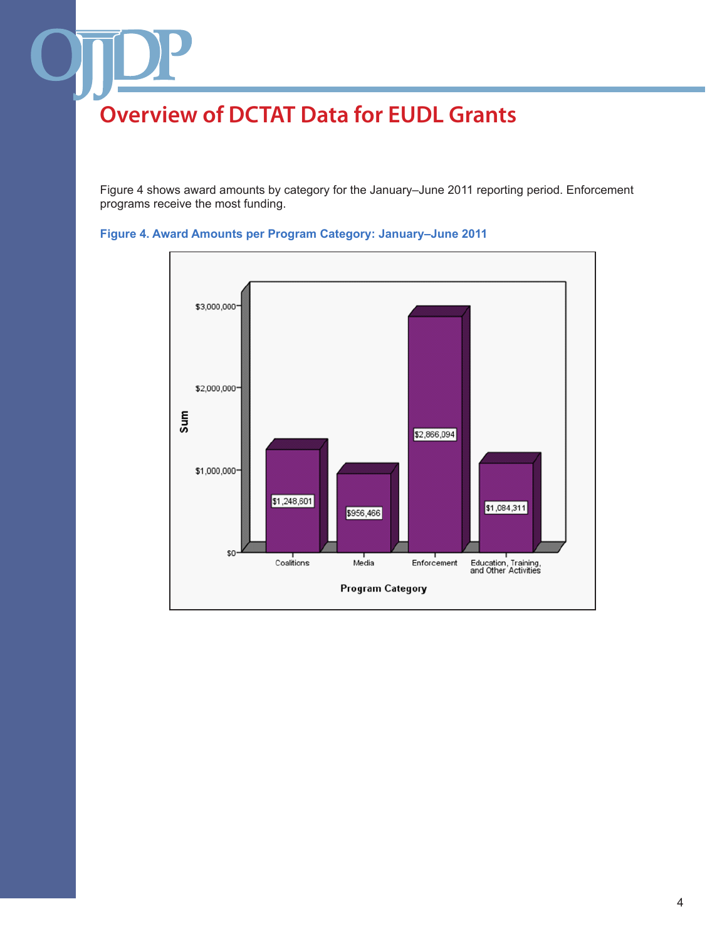Figure 4 shows award amounts by category for the January–June 2011 reporting period. Enforcement programs receive the most funding.



**Figure 4. Award Amounts per Program Category: January–June 2011**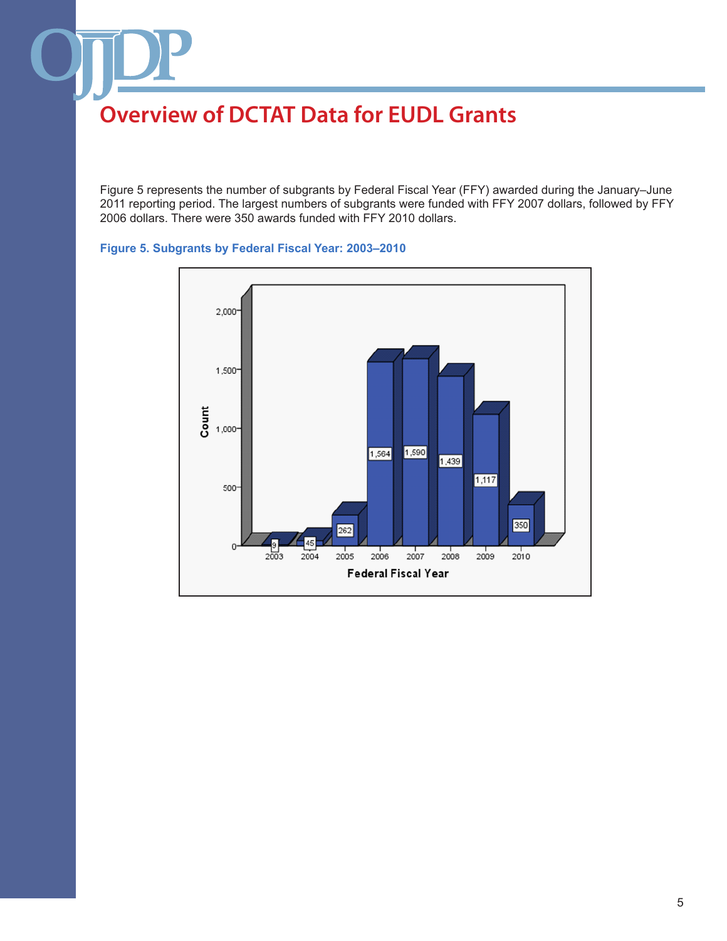Figure 5 represents the number of subgrants by Federal Fiscal Year (FFY) awarded during the January–June 2011 reporting period. The largest numbers of subgrants were funded with FFY 2007 dollars, followed by FFY 2006 dollars. There were 350 awards funded with FFY 2010 dollars.



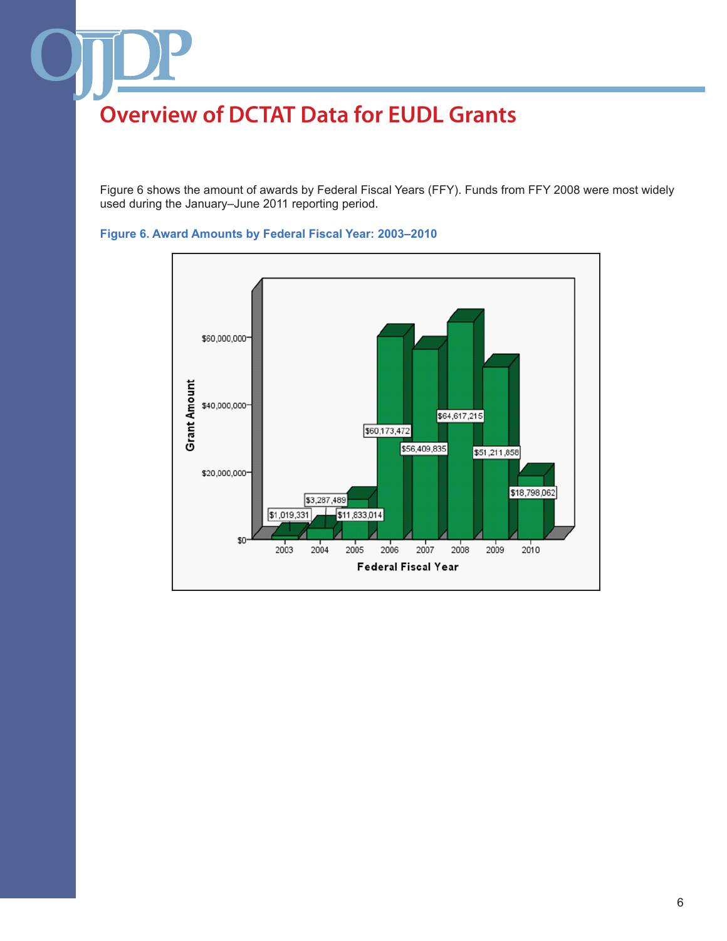Figure 6 shows the amount of awards by Federal Fiscal Years (FFY). Funds from FFY 2008 were most widely used during the January–June 2011 reporting period.



#### **Figure 6. Award Amounts by Federal Fiscal Year: 2003–2010**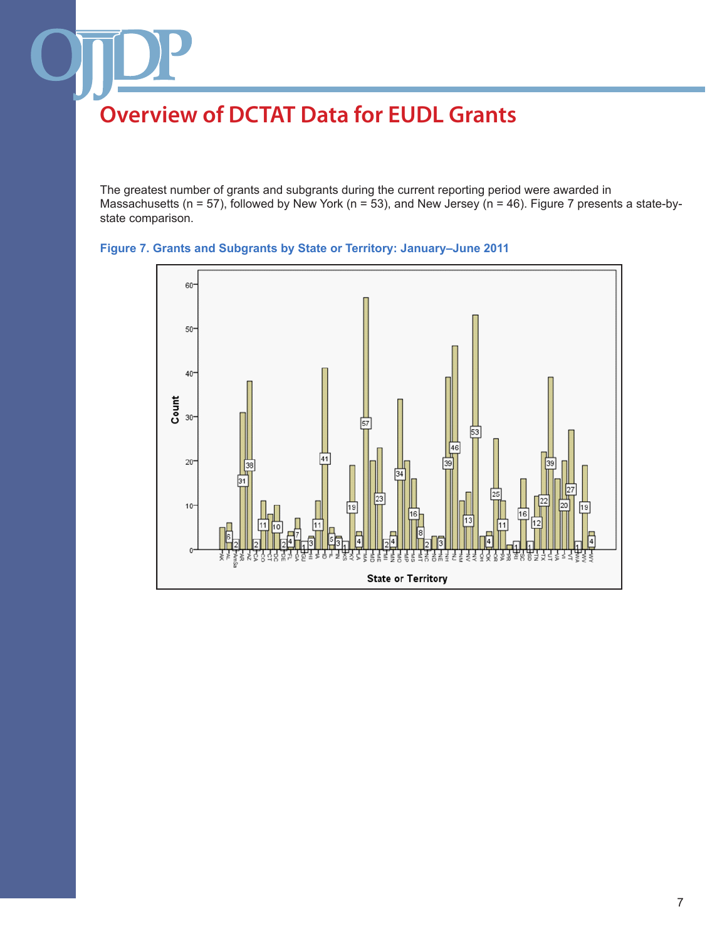The greatest number of grants and subgrants during the current reporting period were awarded in Massachusetts (n = 57), followed by New York (n = 53), and New Jersey (n = 46). Figure 7 presents a state-bystate comparison.



#### **Figure 7. Grants and Subgrants by State or Territory: January–June 2011**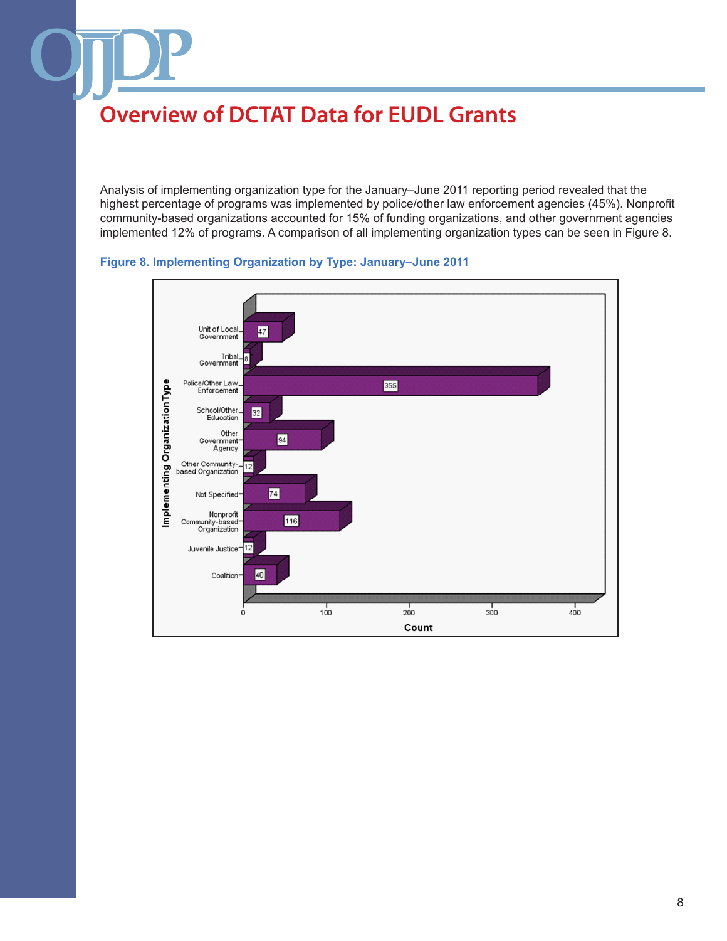Analysis of implementing organization type for the January–June 2011 reporting period revealed that the highest percentage of programs was implemented by police/other law enforcement agencies (45%). Nonprofit community-based organizations accounted for 15% of funding organizations, and other government agencies implemented 12% of programs. A comparison of all implementing organization types can be seen in Figure 8.



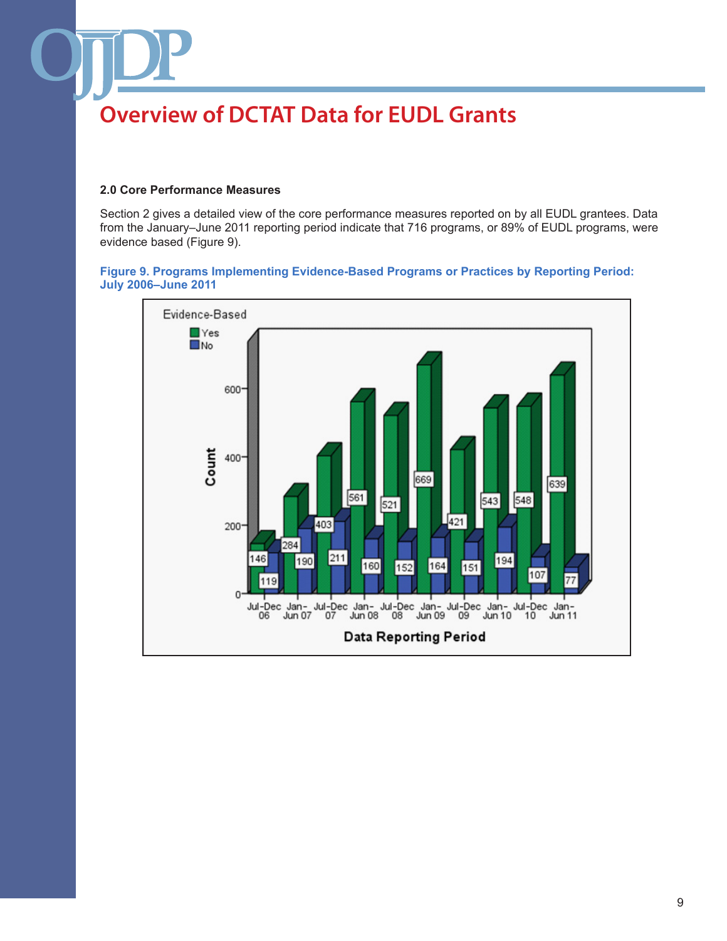#### **2.0 Core Performance Measures**

Section 2 gives a detailed view of the core performance measures reported on by all EUDL grantees. Data from the January–June 2011 reporting period indicate that 716 programs, or 89% of EUDL programs, were evidence based (Figure 9).

#### **Figure 9. Programs Implementing Evidence-Based Programs or Practices by Reporting Period: July 2006–June 2011**

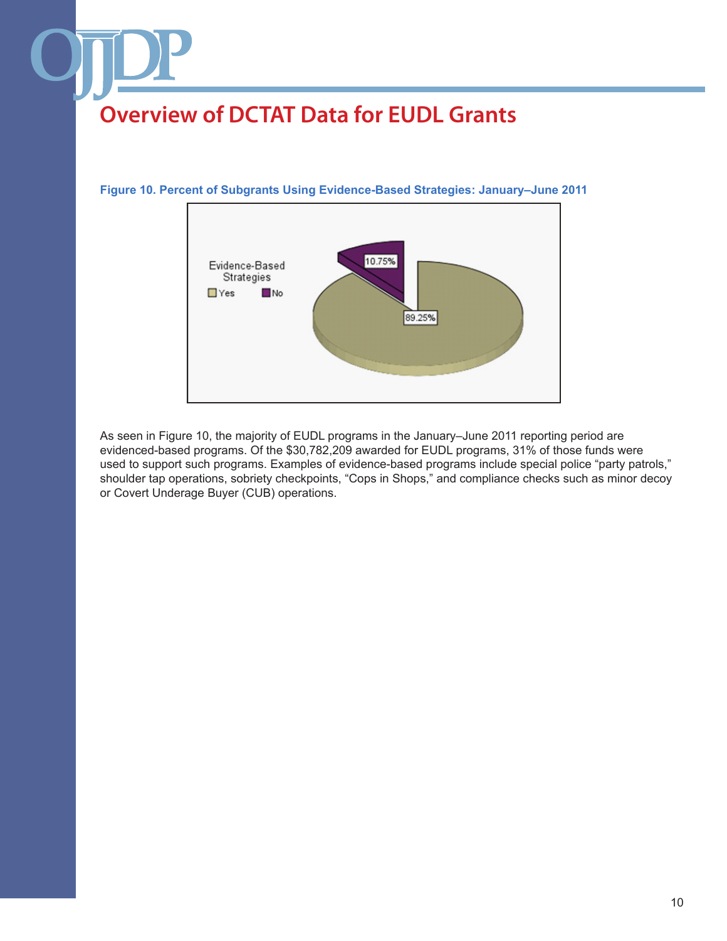#### **Figure 10. Percent of Subgrants Using Evidence-Based Strategies: January–June 2011**



As seen in Figure 10, the majority of EUDL programs in the January–June 2011 reporting period are evidenced-based programs. Of the \$30,782,209 awarded for EUDL programs, 31% of those funds were used to support such programs. Examples of evidence-based programs include special police "party patrols," shoulder tap operations, sobriety checkpoints, "Cops in Shops," and compliance checks such as minor decoy or Covert Underage Buyer (CUB) operations.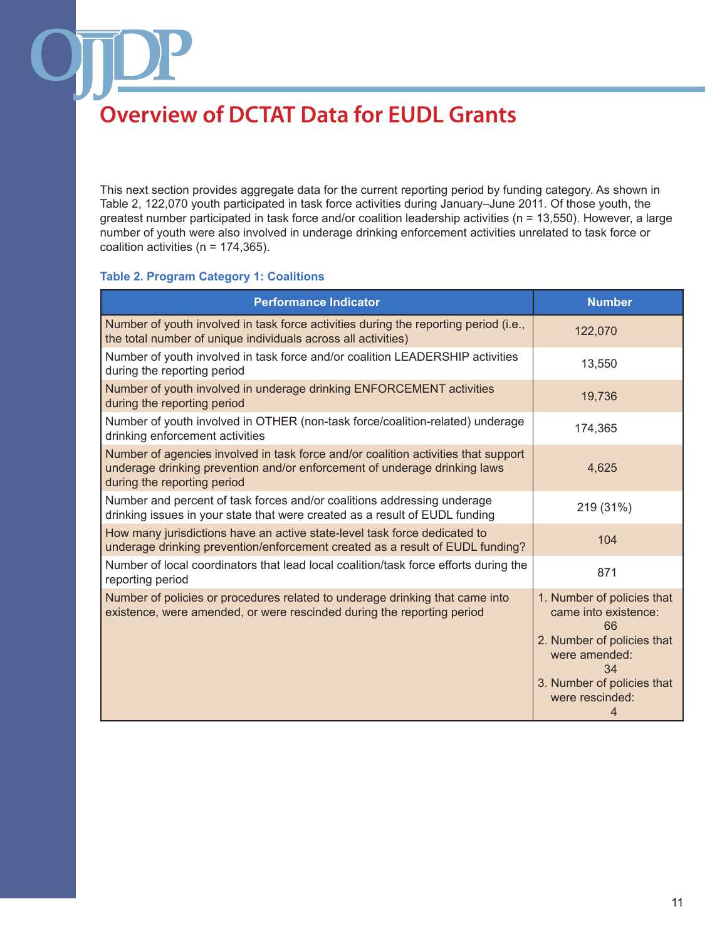This next section provides aggregate data for the current reporting period by funding category. As shown in Table 2, 122,070 youth participated in task force activities during January–June 2011. Of those youth, the greatest number participated in task force and/or coalition leadership activities (n = 13,550). However, a large number of youth were also involved in underage drinking enforcement activities unrelated to task force or coalition activities ( $n = 174,365$ ).

#### **Table 2. Program Category 1: Coalitions**

| <b>Performance Indicator</b>                                                                                                                                                                   | <b>Number</b>                                                                                                                                                       |
|------------------------------------------------------------------------------------------------------------------------------------------------------------------------------------------------|---------------------------------------------------------------------------------------------------------------------------------------------------------------------|
| Number of youth involved in task force activities during the reporting period (i.e.,<br>the total number of unique individuals across all activities)                                          | 122,070                                                                                                                                                             |
| Number of youth involved in task force and/or coalition LEADERSHIP activities<br>during the reporting period                                                                                   | 13,550                                                                                                                                                              |
| Number of youth involved in underage drinking ENFORCEMENT activities<br>during the reporting period                                                                                            | 19,736                                                                                                                                                              |
| Number of youth involved in OTHER (non-task force/coalition-related) underage<br>drinking enforcement activities                                                                               | 174,365                                                                                                                                                             |
| Number of agencies involved in task force and/or coalition activities that support<br>underage drinking prevention and/or enforcement of underage drinking laws<br>during the reporting period | 4,625                                                                                                                                                               |
| Number and percent of task forces and/or coalitions addressing underage<br>drinking issues in your state that were created as a result of EUDL funding                                         | 219 (31%)                                                                                                                                                           |
| How many jurisdictions have an active state-level task force dedicated to<br>underage drinking prevention/enforcement created as a result of EUDL funding?                                     | 104                                                                                                                                                                 |
| Number of local coordinators that lead local coalition/task force efforts during the<br>reporting period                                                                                       | 871                                                                                                                                                                 |
| Number of policies or procedures related to underage drinking that came into<br>existence, were amended, or were rescinded during the reporting period                                         | 1. Number of policies that<br>came into existence:<br>66<br>2. Number of policies that<br>were amended:<br>34<br>3. Number of policies that<br>were rescinded:<br>4 |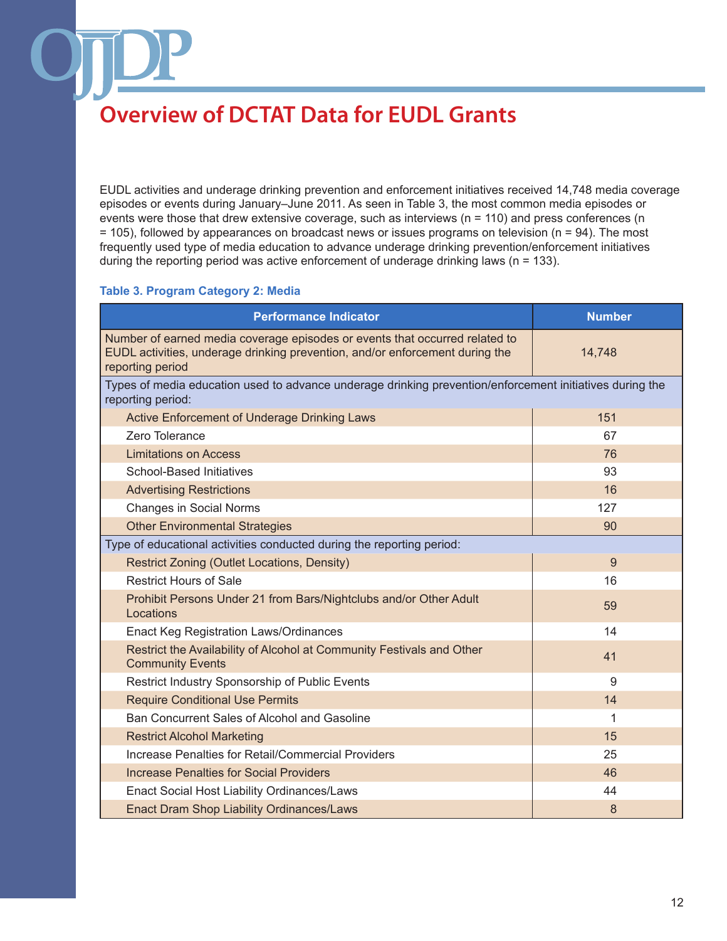EUDL activities and underage drinking prevention and enforcement initiatives received 14,748 media coverage episodes or events during January–June 2011. As seen in Table 3, the most common media episodes or events were those that drew extensive coverage, such as interviews (n = 110) and press conferences (n = 105), followed by appearances on broadcast news or issues programs on television (n = 94). The most frequently used type of media education to advance underage drinking prevention/enforcement initiatives during the reporting period was active enforcement of underage drinking laws ( $n = 133$ ).

#### **Table 3. Program Category 2: Media**

| <b>Performance Indicator</b>                                                                                                                                                    | <b>Number</b> |  |
|---------------------------------------------------------------------------------------------------------------------------------------------------------------------------------|---------------|--|
| Number of earned media coverage episodes or events that occurred related to<br>EUDL activities, underage drinking prevention, and/or enforcement during the<br>reporting period | 14,748        |  |
| Types of media education used to advance underage drinking prevention/enforcement initiatives during the<br>reporting period:                                                   |               |  |
| Active Enforcement of Underage Drinking Laws                                                                                                                                    | 151           |  |
| Zero Tolerance                                                                                                                                                                  | 67            |  |
| <b>Limitations on Access</b>                                                                                                                                                    | 76            |  |
| <b>School-Based Initiatives</b>                                                                                                                                                 | 93            |  |
| <b>Advertising Restrictions</b>                                                                                                                                                 | 16            |  |
| <b>Changes in Social Norms</b>                                                                                                                                                  | 127           |  |
| <b>Other Environmental Strategies</b>                                                                                                                                           | 90            |  |
| Type of educational activities conducted during the reporting period:                                                                                                           |               |  |
| Restrict Zoning (Outlet Locations, Density)                                                                                                                                     | 9             |  |
| <b>Restrict Hours of Sale</b>                                                                                                                                                   | 16            |  |
| Prohibit Persons Under 21 from Bars/Nightclubs and/or Other Adult<br>Locations                                                                                                  | 59            |  |
| <b>Enact Keg Registration Laws/Ordinances</b>                                                                                                                                   | 14            |  |
| Restrict the Availability of Alcohol at Community Festivals and Other<br><b>Community Events</b>                                                                                | 41            |  |
| Restrict Industry Sponsorship of Public Events                                                                                                                                  | 9             |  |
| <b>Require Conditional Use Permits</b>                                                                                                                                          | 14            |  |
| Ban Concurrent Sales of Alcohol and Gasoline                                                                                                                                    | 1             |  |
| <b>Restrict Alcohol Marketing</b>                                                                                                                                               | 15            |  |
| Increase Penalties for Retail/Commercial Providers                                                                                                                              | 25            |  |
| <b>Increase Penalties for Social Providers</b>                                                                                                                                  | 46            |  |
| Enact Social Host Liability Ordinances/Laws                                                                                                                                     | 44            |  |
| <b>Enact Dram Shop Liability Ordinances/Laws</b>                                                                                                                                | 8             |  |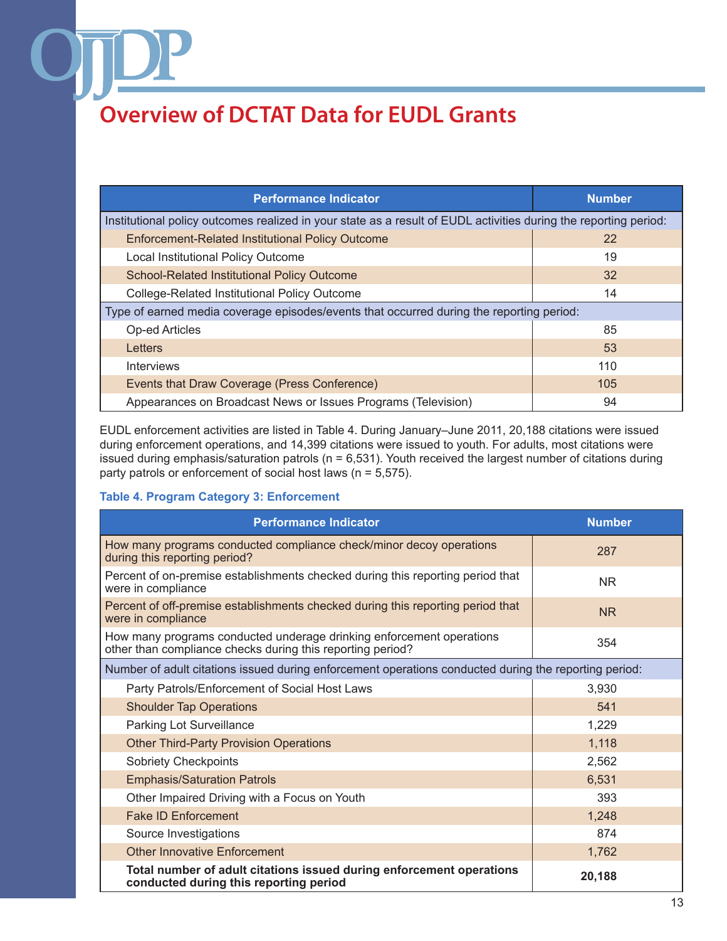| <b>Performance Indicator</b>                                                                                     | <b>Number</b> |  |
|------------------------------------------------------------------------------------------------------------------|---------------|--|
| Institutional policy outcomes realized in your state as a result of EUDL activities during the reporting period: |               |  |
| <b>Enforcement-Related Institutional Policy Outcome</b>                                                          | 22            |  |
| Local Institutional Policy Outcome                                                                               | 19            |  |
| School-Related Institutional Policy Outcome                                                                      | 32            |  |
| College-Related Institutional Policy Outcome                                                                     | 14            |  |
| Type of earned media coverage episodes/events that occurred during the reporting period:                         |               |  |
| <b>Op-ed Articles</b>                                                                                            | 85            |  |
| Letters                                                                                                          | 53            |  |
| <b>Interviews</b>                                                                                                | 110           |  |
| Events that Draw Coverage (Press Conference)                                                                     | 105           |  |
| Appearances on Broadcast News or Issues Programs (Television)                                                    | 94            |  |

EUDL enforcement activities are listed in Table 4. During January–June 2011, 20,188 citations were issued during enforcement operations, and 14,399 citations were issued to youth. For adults, most citations were issued during emphasis/saturation patrols (n = 6,531). Youth received the largest number of citations during party patrols or enforcement of social host laws (n = 5,575).

#### **Table 4. Program Category 3: Enforcement**

| <b>Performance Indicator</b>                                                                                                       | <b>Number</b> |  |
|------------------------------------------------------------------------------------------------------------------------------------|---------------|--|
| How many programs conducted compliance check/minor decoy operations<br>during this reporting period?                               | 287           |  |
| Percent of on-premise establishments checked during this reporting period that<br>were in compliance                               | <b>NR</b>     |  |
| Percent of off-premise establishments checked during this reporting period that<br>were in compliance                              | <b>NR</b>     |  |
| How many programs conducted underage drinking enforcement operations<br>other than compliance checks during this reporting period? | 354           |  |
| Number of adult citations issued during enforcement operations conducted during the reporting period:                              |               |  |
| Party Patrols/Enforcement of Social Host Laws                                                                                      | 3,930         |  |
| <b>Shoulder Tap Operations</b>                                                                                                     | 541           |  |
| Parking Lot Surveillance                                                                                                           | 1,229         |  |
| <b>Other Third-Party Provision Operations</b>                                                                                      | 1,118         |  |
| <b>Sobriety Checkpoints</b>                                                                                                        | 2,562         |  |
| <b>Emphasis/Saturation Patrols</b>                                                                                                 | 6,531         |  |
| Other Impaired Driving with a Focus on Youth                                                                                       | 393           |  |
| <b>Fake ID Enforcement</b>                                                                                                         | 1,248         |  |
| Source Investigations                                                                                                              | 874           |  |
| <b>Other Innovative Enforcement</b>                                                                                                | 1,762         |  |
| Total number of adult citations issued during enforcement operations<br>conducted during this reporting period                     | 20,188        |  |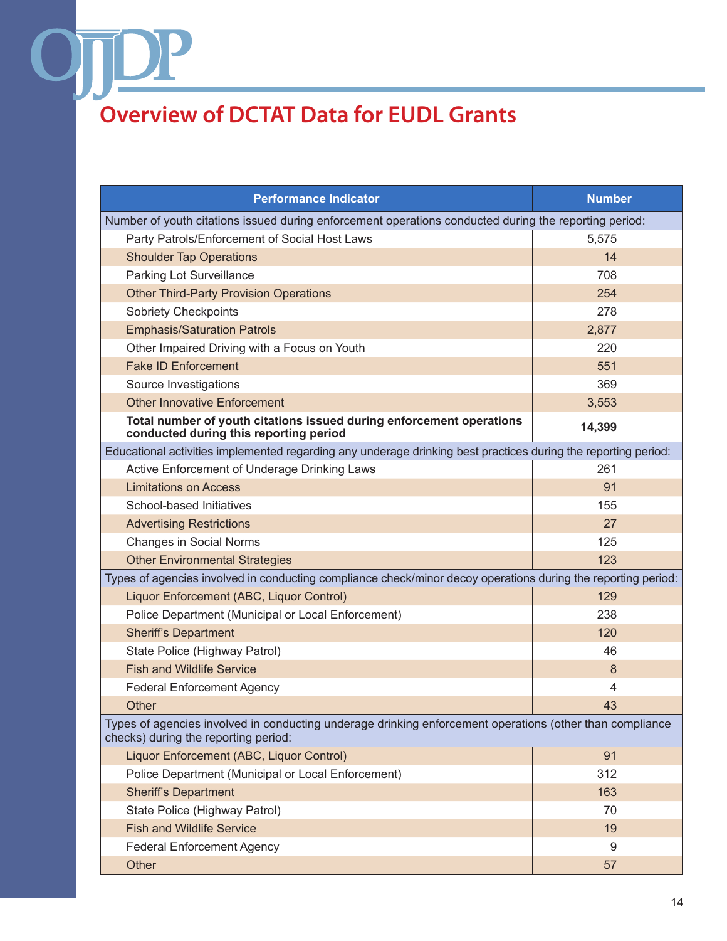OŢ

| <b>Performance Indicator</b>                                                                                                                     | <b>Number</b> |  |
|--------------------------------------------------------------------------------------------------------------------------------------------------|---------------|--|
| Number of youth citations issued during enforcement operations conducted during the reporting period:                                            |               |  |
| Party Patrols/Enforcement of Social Host Laws                                                                                                    | 5,575         |  |
| <b>Shoulder Tap Operations</b>                                                                                                                   | 14            |  |
| Parking Lot Surveillance                                                                                                                         | 708           |  |
| <b>Other Third-Party Provision Operations</b>                                                                                                    | 254           |  |
| <b>Sobriety Checkpoints</b>                                                                                                                      | 278           |  |
| <b>Emphasis/Saturation Patrols</b>                                                                                                               | 2,877         |  |
| Other Impaired Driving with a Focus on Youth                                                                                                     | 220           |  |
| <b>Fake ID Enforcement</b>                                                                                                                       | 551           |  |
| Source Investigations                                                                                                                            | 369           |  |
| <b>Other Innovative Enforcement</b>                                                                                                              | 3,553         |  |
| Total number of youth citations issued during enforcement operations<br>conducted during this reporting period                                   | 14,399        |  |
| Educational activities implemented regarding any underage drinking best practices during the reporting period:                                   |               |  |
| Active Enforcement of Underage Drinking Laws                                                                                                     | 261           |  |
| <b>Limitations on Access</b>                                                                                                                     | 91            |  |
| School-based Initiatives                                                                                                                         | 155           |  |
| <b>Advertising Restrictions</b>                                                                                                                  | 27            |  |
| <b>Changes in Social Norms</b>                                                                                                                   | 125           |  |
| <b>Other Environmental Strategies</b>                                                                                                            | 123           |  |
| Types of agencies involved in conducting compliance check/minor decoy operations during the reporting period:                                    |               |  |
| Liquor Enforcement (ABC, Liquor Control)                                                                                                         | 129           |  |
| Police Department (Municipal or Local Enforcement)                                                                                               | 238           |  |
| <b>Sheriff's Department</b>                                                                                                                      | 120           |  |
| State Police (Highway Patrol)                                                                                                                    | 46            |  |
| <b>Fish and Wildlife Service</b>                                                                                                                 | 8             |  |
| <b>Federal Enforcement Agency</b>                                                                                                                | 4             |  |
| Other                                                                                                                                            | 43            |  |
| Types of agencies involved in conducting underage drinking enforcement operations (other than compliance<br>checks) during the reporting period: |               |  |
| Liquor Enforcement (ABC, Liquor Control)                                                                                                         | 91            |  |
| Police Department (Municipal or Local Enforcement)                                                                                               | 312           |  |
| <b>Sheriff's Department</b>                                                                                                                      | 163           |  |
| State Police (Highway Patrol)                                                                                                                    | 70            |  |
| <b>Fish and Wildlife Service</b>                                                                                                                 | 19            |  |
| <b>Federal Enforcement Agency</b>                                                                                                                | 9             |  |
| Other                                                                                                                                            | 57            |  |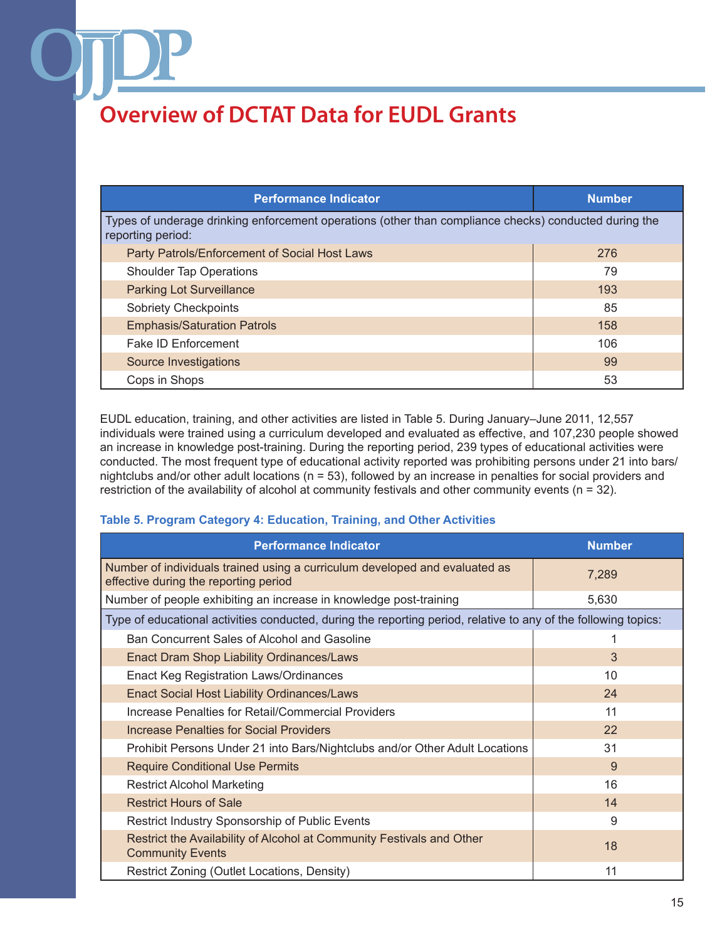| <b>Performance Indicator</b>                                                                                               | <b>Number</b> |  |
|----------------------------------------------------------------------------------------------------------------------------|---------------|--|
| Types of underage drinking enforcement operations (other than compliance checks) conducted during the<br>reporting period: |               |  |
| Party Patrols/Enforcement of Social Host Laws                                                                              | 276           |  |
| <b>Shoulder Tap Operations</b>                                                                                             | 79            |  |
| <b>Parking Lot Surveillance</b>                                                                                            | 193           |  |
| <b>Sobriety Checkpoints</b>                                                                                                | 85            |  |
| <b>Emphasis/Saturation Patrols</b>                                                                                         | 158           |  |
| <b>Fake ID Enforcement</b>                                                                                                 | 106           |  |
| Source Investigations                                                                                                      | 99            |  |
| Cops in Shops                                                                                                              | 53            |  |

EUDL education, training, and other activities are listed in Table 5. During January–June 2011, 12,557 individuals were trained using a curriculum developed and evaluated as effective, and 107,230 people showed an increase in knowledge post-training. During the reporting period, 239 types of educational activities were conducted. The most frequent type of educational activity reported was prohibiting persons under 21 into bars/ nightclubs and/or other adult locations (n = 53), followed by an increase in penalties for social providers and restriction of the availability of alcohol at community festivals and other community events (n = 32).

#### **Table 5. Program Category 4: Education, Training, and Other Activities**

| <b>Performance Indicator</b>                                                                                         | <b>Number</b> |  |
|----------------------------------------------------------------------------------------------------------------------|---------------|--|
| Number of individuals trained using a curriculum developed and evaluated as<br>effective during the reporting period | 7,289         |  |
| Number of people exhibiting an increase in knowledge post-training                                                   | 5,630         |  |
| Type of educational activities conducted, during the reporting period, relative to any of the following topics:      |               |  |
| Ban Concurrent Sales of Alcohol and Gasoline                                                                         |               |  |
| <b>Enact Dram Shop Liability Ordinances/Laws</b>                                                                     | 3             |  |
| <b>Enact Keg Registration Laws/Ordinances</b>                                                                        | 10            |  |
| <b>Enact Social Host Liability Ordinances/Laws</b>                                                                   | 24            |  |
| Increase Penalties for Retail/Commercial Providers                                                                   | 11            |  |
| Increase Penalties for Social Providers                                                                              | 22            |  |
| Prohibit Persons Under 21 into Bars/Nightclubs and/or Other Adult Locations                                          | 31            |  |
| <b>Require Conditional Use Permits</b>                                                                               | 9             |  |
| <b>Restrict Alcohol Marketing</b>                                                                                    | 16            |  |
| <b>Restrict Hours of Sale</b>                                                                                        | 14            |  |
| Restrict Industry Sponsorship of Public Events                                                                       | 9             |  |
| Restrict the Availability of Alcohol at Community Festivals and Other<br><b>Community Events</b>                     | 18            |  |
| Restrict Zoning (Outlet Locations, Density)                                                                          | 11            |  |